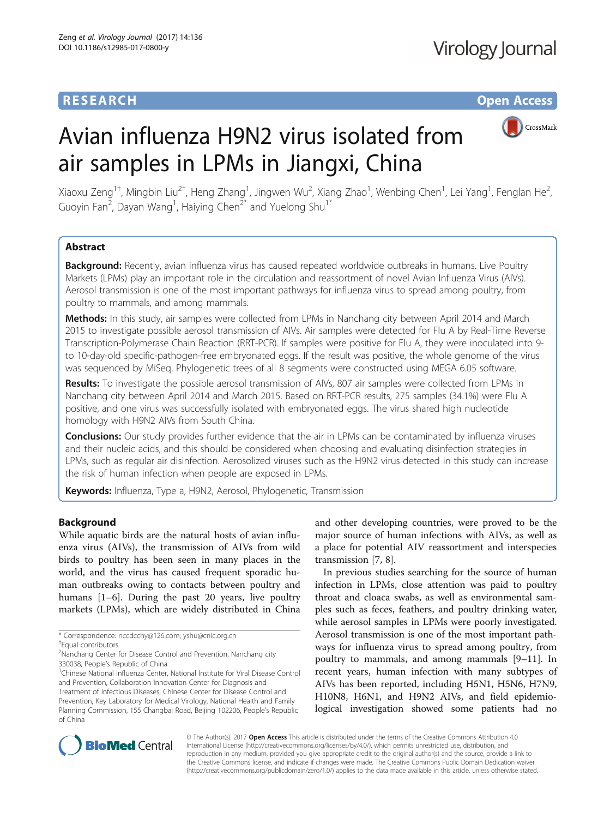# **RESEARCH CHE Open Access**

# CrossMark

,



air samples in LPMs in Jiangxi, China Xiaoxu Zeng<sup>1†</sup>, Mingbin Liu<sup>2†</sup>, Heng Zhang<sup>1</sup>, Jingwen Wu<sup>2</sup>, Xiang Zhao<sup>1</sup>, Wenbing Chen<sup>1</sup>, Lei Yang<sup>1</sup>, Fenglan He<sup>2</sup> Guoyin Fan<sup>2</sup>, Dayan Wang<sup>1</sup>, Haiying Chen<sup>2\*</sup> and Yuelong Shu<sup>1\*</sup>

Avian influenza H9N2 virus isolated from

## Abstract

Background: Recently, avian influenza virus has caused repeated worldwide outbreaks in humans. Live Poultry Markets (LPMs) play an important role in the circulation and reassortment of novel Avian Influenza Virus (AIVs). Aerosol transmission is one of the most important pathways for influenza virus to spread among poultry, from poultry to mammals, and among mammals.

Methods: In this study, air samples were collected from LPMs in Nanchang city between April 2014 and March 2015 to investigate possible aerosol transmission of AIVs. Air samples were detected for Flu A by Real-Time Reverse Transcription-Polymerase Chain Reaction (RRT-PCR). If samples were positive for Flu A, they were inoculated into 9 to 10-day-old specific-pathogen-free embryonated eggs. If the result was positive, the whole genome of the virus was sequenced by MiSeq. Phylogenetic trees of all 8 segments were constructed using MEGA 6.05 software.

Results: To investigate the possible aerosol transmission of AIVs, 807 air samples were collected from LPMs in Nanchang city between April 2014 and March 2015. Based on RRT-PCR results, 275 samples (34.1%) were Flu A positive, and one virus was successfully isolated with embryonated eggs. The virus shared high nucleotide homology with H9N2 AIVs from South China.

**Conclusions:** Our study provides further evidence that the air in LPMs can be contaminated by influenza viruses and their nucleic acids, and this should be considered when choosing and evaluating disinfection strategies in LPMs, such as regular air disinfection. Aerosolized viruses such as the H9N2 virus detected in this study can increase the risk of human infection when people are exposed in LPMs.

Keywords: Influenza, Type a, H9N2, Aerosol, Phylogenetic, Transmission

## Background

While aquatic birds are the natural hosts of avian influenza virus (AIVs), the transmission of AIVs from wild birds to poultry has been seen in many places in the world, and the virus has caused frequent sporadic human outbreaks owing to contacts between poultry and humans [[1](#page-5-0)–[6](#page-5-0)]. During the past 20 years, live poultry markets (LPMs), which are widely distributed in China

<sup>1</sup>Chinese National Influenza Center, National Institute for Viral Disease Control and Prevention, Collaboration Innovation Center for Diagnosis and Treatment of Infectious Diseases, Chinese Center for Disease Control and Prevention, Key Laboratory for Medical Virology, National Health and Family Planning Commission, 155 Changbai Road, Beijing 102206, People's Republic of China

and other developing countries, were proved to be the major source of human infections with AIVs, as well as a place for potential AIV reassortment and interspecies transmission [[7, 8\]](#page-5-0).

In previous studies searching for the source of human infection in LPMs, close attention was paid to poultry throat and cloaca swabs, as well as environmental samples such as feces, feathers, and poultry drinking water, while aerosol samples in LPMs were poorly investigated. Aerosol transmission is one of the most important pathways for influenza virus to spread among poultry, from poultry to mammals, and among mammals [\[9](#page-5-0)–[11\]](#page-5-0). In recent years, human infection with many subtypes of AIVs has been reported, including H5N1, H5N6, H7N9, H10N8, H6N1, and H9N2 AIVs, and field epidemiological investigation showed some patients had no



© The Author(s). 2017 **Open Access** This article is distributed under the terms of the Creative Commons Attribution 4.0 International License [\(http://creativecommons.org/licenses/by/4.0/](http://creativecommons.org/licenses/by/4.0/)), which permits unrestricted use, distribution, and reproduction in any medium, provided you give appropriate credit to the original author(s) and the source, provide a link to the Creative Commons license, and indicate if changes were made. The Creative Commons Public Domain Dedication waiver [\(http://creativecommons.org/publicdomain/zero/1.0/](http://creativecommons.org/publicdomain/zero/1.0/)) applies to the data made available in this article, unless otherwise stated.

<sup>\*</sup> Correspondence: [nccdcchy@126.com;](mailto:nccdcchy@126.com) [yshu@cnic.org.cn](mailto:yshu@cnic.org.cn) †

Equal contributors

<sup>&</sup>lt;sup>2</sup> Nanchang Center for Disease Control and Prevention, Nanchang city 330038, People's Republic of China <sup>1</sup>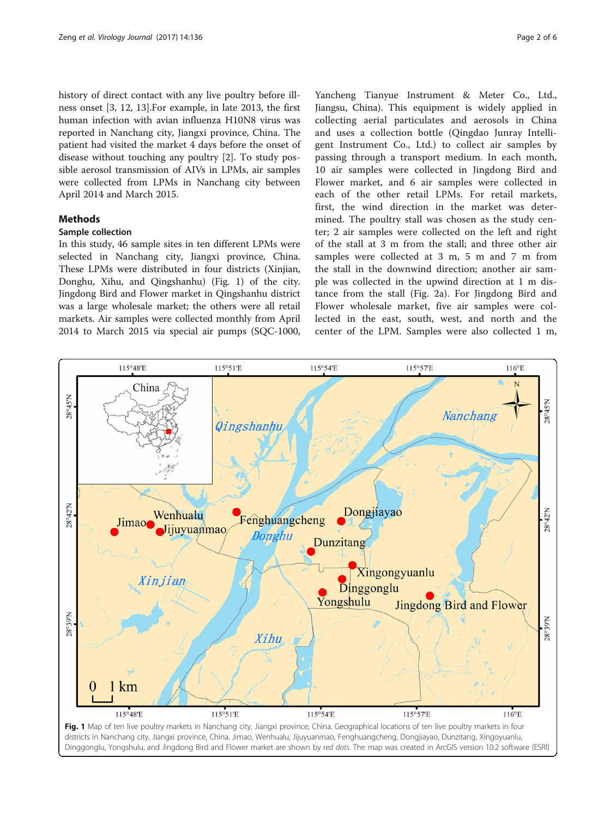<span id="page-1-0"></span>history of direct contact with any live poultry before illness onset [[3, 12](#page-5-0), [13\]](#page-5-0).For example, in late 2013, the first human infection with avian influenza H10N8 virus was reported in Nanchang city, Jiangxi province, China. The patient had visited the market 4 days before the onset of disease without touching any poultry [[2\]](#page-5-0). To study possible aerosol transmission of AIVs in LPMs, air samples were collected from LPMs in Nanchang city between April 2014 and March 2015.

## **Methods**

## Sample collection

In this study, 46 sample sites in ten different LPMs were selected in Nanchang city, Jiangxi province, China. These LPMs were distributed in four districts (Xinjian, Donghu, Xihu, and Qingshanhu) (Fig. 1) of the city. Jingdong Bird and Flower market in Qingshanhu district was a large wholesale market; the others were all retail markets. Air samples were collected monthly from April 2014 to March 2015 via special air pumps (SQC-1000,

Yancheng Tianyue Instrument & Meter Co., Ltd., Jiangsu, China). This equipment is widely applied in collecting aerial particulates and aerosols in China and uses a collection bottle (Qingdao Junray Intelligent Instrument Co., Ltd.) to collect air samples by passing through a transport medium. In each month, 10 air samples were collected in Jingdong Bird and Flower market, and 6 air samples were collected in each of the other retail LPMs. For retail markets, first, the wind direction in the market was determined. The poultry stall was chosen as the study center; 2 air samples were collected on the left and right of the stall at 3 m from the stall; and three other air samples were collected at 3 m, 5 m and 7 m from the stall in the downwind direction; another air sample was collected in the upwind direction at 1 m distance from the stall (Fig. [2a](#page-2-0)). For Jingdong Bird and Flower wholesale market, five air samples were collected in the east, south, west, and north and the center of the LPM. Samples were also collected 1 m,

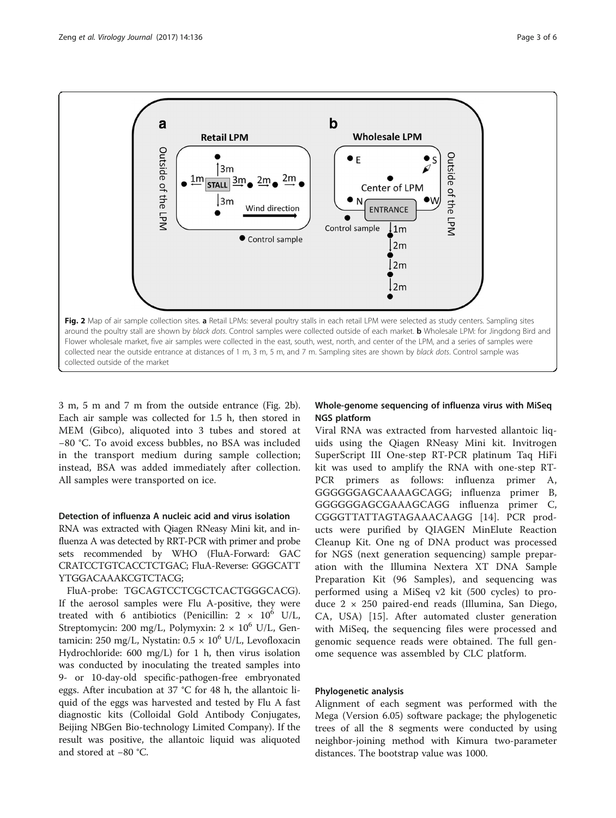<span id="page-2-0"></span>

3 m, 5 m and 7 m from the outside entrance (Fig. 2b). Each air sample was collected for 1.5 h, then stored in MEM (Gibco), aliquoted into 3 tubes and stored at −80 °C. To avoid excess bubbles, no BSA was included in the transport medium during sample collection; instead, BSA was added immediately after collection. All samples were transported on ice.

## Detection of influenza A nucleic acid and virus isolation

RNA was extracted with Qiagen RNeasy Mini kit, and influenza A was detected by RRT-PCR with primer and probe sets recommended by WHO (FluA-Forward: GAC CRATCCTGTCACCTCTGAC; FluA-Reverse: GGGCATT YTGGACAAAKCGTCTACG;

FluA-probe: TGCAGTCCTCGCTCACTGGGCACG). If the aerosol samples were Flu A-positive, they were treated with 6 antibiotics (Penicillin:  $2 \times 10^6$  U/L, Streptomycin: 200 mg/L, Polymyxin:  $2 \times 10^6$  U/L, Gentamicin: 250 mg/L, Nystatin:  $0.5 \times 10^6$  U/L, Levofloxacin Hydrochloride: 600 mg/L) for 1 h, then virus isolation was conducted by inoculating the treated samples into 9- or 10-day-old specific-pathogen-free embryonated eggs. After incubation at 37 °C for 48 h, the allantoic liquid of the eggs was harvested and tested by Flu A fast diagnostic kits (Colloidal Gold Antibody Conjugates, Beijing NBGen Bio-technology Limited Company). If the result was positive, the allantoic liquid was aliquoted and stored at −80 °C.

## Whole-genome sequencing of influenza virus with MiSeq NGS platform

Viral RNA was extracted from harvested allantoic liquids using the Qiagen RNeasy Mini kit. Invitrogen SuperScript III One-step RT-PCR platinum Taq HiFi kit was used to amplify the RNA with one-step RT-PCR primers as follows: influenza primer A, GGGGGGAGCAAAAGCAGG; influenza primer B, GGGGGGAGCGAAAGCAGG influenza primer C, CGGGTTATTAGTAGAAACAAGG [\[14](#page-5-0)]. PCR products were purified by QIAGEN MinElute Reaction Cleanup Kit. One ng of DNA product was processed for NGS (next generation sequencing) sample preparation with the Illumina Nextera XT DNA Sample Preparation Kit (96 Samples), and sequencing was performed using a MiSeq v2 kit (500 cycles) to produce 2 × 250 paired-end reads (Illumina, San Diego, CA, USA) [[15\]](#page-5-0). After automated cluster generation with MiSeq, the sequencing files were processed and genomic sequence reads were obtained. The full genome sequence was assembled by CLC platform.

## Phylogenetic analysis

Alignment of each segment was performed with the Mega (Version 6.05) software package; the phylogenetic trees of all the 8 segments were conducted by using neighbor-joining method with Kimura two-parameter distances. The bootstrap value was 1000.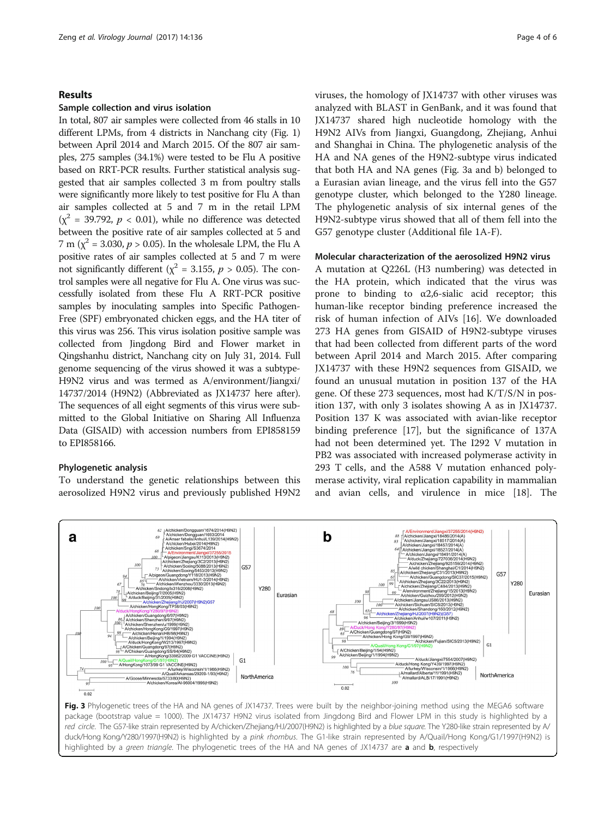## Results

#### Sample collection and virus isolation

In total, 807 air samples were collected from 46 stalls in 10 different LPMs, from 4 districts in Nanchang city (Fig. [1](#page-1-0)) between April 2014 and March 2015. Of the 807 air samples, 275 samples (34.1%) were tested to be Flu A positive based on RRT-PCR results. Further statistical analysis suggested that air samples collected 3 m from poultry stalls were significantly more likely to test positive for Flu A than air samples collected at 5 and 7 m in the retail LPM  $(\chi^2 = 39.792, p < 0.01)$ , while no difference was detected between the positive rate of air samples collected at 5 and 7 m ( $\chi^2$  = 3.030, *p* > 0.05). In the wholesale LPM, the Flu A positive rates of air samples collected at 5 and 7 m were not significantly different ( $\chi^2$  = 3.155,  $p > 0.05$ ). The control samples were all negative for Flu A. One virus was successfully isolated from these Flu A RRT-PCR positive samples by inoculating samples into Specific Pathogen-Free (SPF) embryonated chicken eggs, and the HA titer of this virus was 256. This virus isolation positive sample was collected from Jingdong Bird and Flower market in Qingshanhu district, Nanchang city on July 31, 2014. Full genome sequencing of the virus showed it was a subtype-H9N2 virus and was termed as A/environment/Jiangxi/ 14737/2014 (H9N2) (Abbreviated as JX14737 here after). The sequences of all eight segments of this virus were submitted to the Global Initiative on Sharing All Influenza Data (GISAID) with accession numbers from EPI858159 to EPI858166.

### Phylogenetic analysis

To understand the genetic relationships between this aerosolized H9N2 virus and previously published H9N2

viruses, the homology of JX14737 with other viruses was analyzed with BLAST in GenBank, and it was found that JX14737 shared high nucleotide homology with the H9N2 AIVs from Jiangxi, Guangdong, Zhejiang, Anhui and Shanghai in China. The phylogenetic analysis of the HA and NA genes of the H9N2-subtype virus indicated that both HA and NA genes (Fig. 3a and b) belonged to a Eurasian avian lineage, and the virus fell into the G57 genotype cluster, which belonged to the Y280 lineage. The phylogenetic analysis of six internal genes of the H9N2-subtype virus showed that all of them fell into the G57 genotype cluster (Additional file [1](#page-4-0)A-F).

#### Molecular characterization of the aerosolized H9N2 virus

A mutation at Q226L (H3 numbering) was detected in the HA protein, which indicated that the virus was prone to binding to  $\alpha$ 2,6-sialic acid receptor; this human-like receptor binding preference increased the risk of human infection of AIVs [[16](#page-5-0)]. We downloaded 273 HA genes from GISAID of H9N2-subtype viruses that had been collected from different parts of the word between April 2014 and March 2015. After comparing JX14737 with these H9N2 sequences from GISAID, we found an unusual mutation in position 137 of the HA gene. Of these 273 sequences, most had K/T/S/N in position 137, with only 3 isolates showing A as in JX14737. Position 137 K was associated with avian-like receptor binding preference [[17](#page-5-0)], but the significance of 137A had not been determined yet. The I292 V mutation in PB2 was associated with increased polymerase activity in 293 T cells, and the A588 V mutation enhanced polymerase activity, viral replication capability in mammalian and avian cells, and virulence in mice [\[18](#page-5-0)]. The



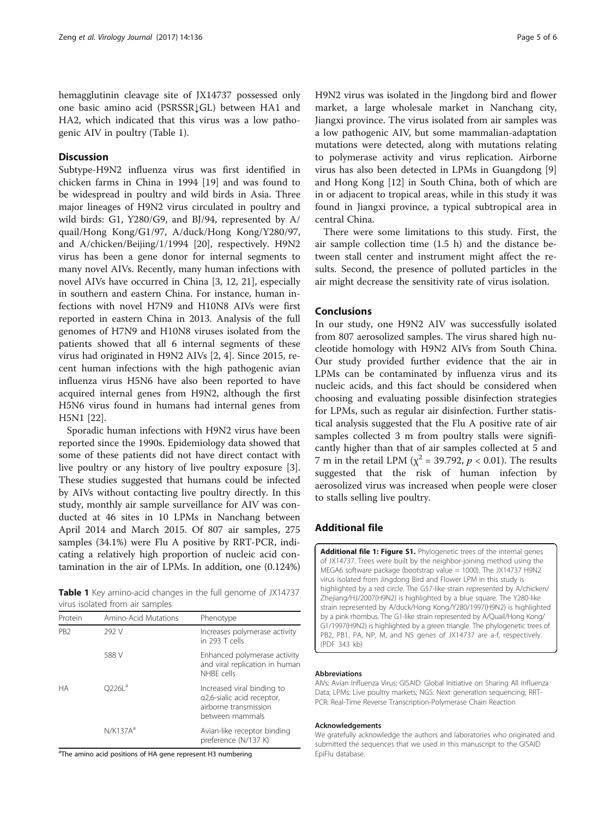<span id="page-4-0"></span>hemagglutinin cleavage site of JX14737 possessed only one basic amino acid (PSRSSR↓GL) between HA1 and HA2, which indicated that this virus was a low pathogenic AIV in poultry (Table 1).

## **Discussion**

Subtype-H9N2 influenza virus was first identified in chicken farms in China in 1994 [[19\]](#page-5-0) and was found to be widespread in poultry and wild birds in Asia. Three major lineages of H9N2 virus circulated in poultry and wild birds: G1, Y280/G9, and BJ/94, represented by A/ quail/Hong Kong/G1/97, A/duck/Hong Kong/Y280/97, and A/chicken/Beijing/1/1994 [\[20](#page-5-0)], respectively. H9N2 virus has been a gene donor for internal segments to many novel AIVs. Recently, many human infections with novel AIVs have occurred in China [\[3, 12](#page-5-0), [21](#page-5-0)], especially in southern and eastern China. For instance, human infections with novel H7N9 and H10N8 AIVs were first reported in eastern China in 2013. Analysis of the full genomes of H7N9 and H10N8 viruses isolated from the patients showed that all 6 internal segments of these virus had originated in H9N2 AIVs [\[2](#page-5-0), [4](#page-5-0)]. Since 2015, recent human infections with the high pathogenic avian influenza virus H5N6 have also been reported to have acquired internal genes from H9N2, although the first H5N6 virus found in humans had internal genes from H5N1 [[22](#page-5-0)].

Sporadic human infections with H9N2 virus have been reported since the 1990s. Epidemiology data showed that some of these patients did not have direct contact with live poultry or any history of live poultry exposure [\[3](#page-5-0)]. These studies suggested that humans could be infected by AIVs without contacting live poultry directly. In this study, monthly air sample surveillance for AIV was conducted at 46 sites in 10 LPMs in Nanchang between April 2014 and March 2015. Of 807 air samples, 275 samples (34.1%) were Flu A positive by RRT-PCR, indicating a relatively high proportion of nucleic acid contamination in the air of LPMs. In addition, one (0.124%)

Table 1 Key amino-acid changes in the full genome of JX14737 virus isolated from air samples

| Protein         | Amino-Acid Mutations | Phenotype                                                                                            |
|-----------------|----------------------|------------------------------------------------------------------------------------------------------|
| P <sub>B2</sub> | 292 V                | Increases polymerase activity<br>in 293 $T$ cells                                                    |
|                 | 588 V                | Enhanced polymerase activity<br>and viral replication in human<br>NHBF cells                         |
| <b>HA</b>       | $02261^a$            | Increased viral binding to<br>a2,6-sialic acid receptor,<br>airborne transmission<br>between mammals |
|                 | N/K137A <sup>a</sup> | Avian-like receptor binding<br>preference (N/137 K)                                                  |

<sup>a</sup>The amino acid positions of HA gene represent H3 numbering

H9N2 virus was isolated in the Jingdong bird and flower market, a large wholesale market in Nanchang city, Jiangxi province. The virus isolated from air samples was a low pathogenic AIV, but some mammalian-adaptation mutations were detected, along with mutations relating to polymerase activity and virus replication. Airborne virus has also been detected in LPMs in Guangdong [\[9](#page-5-0)] and Hong Kong [\[12](#page-5-0)] in South China, both of which are in or adjacent to tropical areas, while in this study it was found in Jiangxi province, a typical subtropical area in central China.

There were some limitations to this study. First, the air sample collection time (1.5 h) and the distance between stall center and instrument might affect the results. Second, the presence of polluted particles in the air might decrease the sensitivity rate of virus isolation.

## Conclusions

In our study, one H9N2 AIV was successfully isolated from 807 aerosolized samples. The virus shared high nucleotide homology with H9N2 AIVs from South China. Our study provided further evidence that the air in LPMs can be contaminated by influenza virus and its nucleic acids, and this fact should be considered when choosing and evaluating possible disinfection strategies for LPMs, such as regular air disinfection. Further statistical analysis suggested that the Flu A positive rate of air samples collected 3 m from poultry stalls were significantly higher than that of air samples collected at 5 and 7 m in the retail LPM ( $\chi^2$  = 39.792,  $p$  < 0.01). The results suggested that the risk of human infection by aerosolized virus was increased when people were closer to stalls selling live poultry.

## Additional file

[Additional file 1: Figure S1.](dx.doi.org/10.1186/s12985-017-0800-y) Phylogenetic trees of the internal genes of JX14737. Trees were built by the neighbor-joining method using the MEGA6 software package (bootstrap value = 1000). The JX14737 H9N2 virus isolated from Jingdong Bird and Flower LPM in this study is highlighted by a red circle. The G57-like strain represented by A/chicken/ Zhejiang/HJ/2007(H9N2) is highlighted by a blue square. The Y280-like strain represented by A/duck/Hong Kong/Y280/1997(H9N2) is highlighted by a pink rhombus. The G1-like strain represented by A/Quail/Hong Kong/ G1/1997(H9N2) is highlighted by a green triangle. The phylogenetic trees of PB2, PB1, PA, NP, M, and NS genes of JX14737 are a-f, respectively. (PDF 343 kb)

#### Abbreviations

AIVs: Avian Influenza Virus; GISAID: Global Initiative on Sharing All Influenza Data; LPMs: Live poultry markets; NGS: Next generation sequencing; RRT-PCR: Real-Time Reverse Transcription-Polymerase Chain Reaction

#### Acknowledgements

We gratefully acknowledge the authors and laboratories who originated and submitted the sequences that we used in this manuscript to the GISAID EpiFlu database.